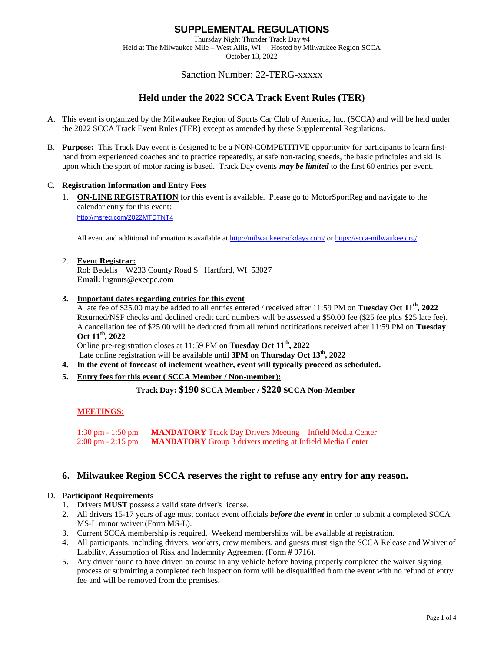Thursday Night Thunder Track Day #4 Held at The Milwaukee Mile – West Allis, WI Hosted by Milwaukee Region SCCA October 13, 2022

# Sanction Number: 22-TERG-xxxxx

# **Held under the 2022 SCCA Track Event Rules (TER)**

- A. This event is organized by the Milwaukee Region of Sports Car Club of America, Inc. (SCCA) and will be held under the 2022 SCCA Track Event Rules (TER) except as amended by these Supplemental Regulations.
- B. **Purpose:** This Track Day event is designed to be a NON-COMPETITIVE opportunity for participants to learn firsthand from experienced coaches and to practice repeatedly, at safe non-racing speeds, the basic principles and skills upon which the sport of motor racing is based. Track Day events *may be limited* to the first 60 entries per event.

#### C. **Registration Information and Entry Fees**

1. **ON-LINE REGISTRATION** for this event is available. Please go to MotorSportReg and navigate to the calendar entry for this event: <http://msreg.com/2022MTDTNT4>

All event and additional information is available at <http://milwaukeetrackdays.com/> or<https://scca-milwaukee.org/>

#### 2. **Event Registrar:**

Rob Bedelis W233 County Road S Hartford, WI 53027 **Email:** lugnuts@execpc.com

**3. Important dates regarding entries for this event**

A late fee of \$25.00 may be added to all entries entered / received after 11:59 PM on **Tuesday Oct 11 th, 2022** Returned/NSF checks and declined credit card numbers will be assessed a \$50.00 fee (\$25 fee plus \$25 late fee). A cancellation fee of \$25.00 will be deducted from all refund notifications received after 11:59 PM on **Tuesday Oct 11 th, 2022**

Online pre-registration closes at 11:59 PM on **Tuesday Oct 11 th, 2022**

Late online registration will be available until **3PM** on **Thursday Oct 13 th, 2022**

- **4. In the event of forecast of inclement weather, event will typically proceed as scheduled.**
- **5. Entry fees for this event ( SCCA Member / Non-member):**

**Track Day: \$190 SCCA Member / \$220 SCCA Non-Member**

#### **MEETINGS:**

1:30 pm - 1:50 pm **MANDATORY** Track Day Drivers Meeting – Infield Media Center 2:00 pm - 2:15 pm **MANDATORY** Group 3 drivers meeting at Infield Media Center

## **6. Milwaukee Region SCCA reserves the right to refuse any entry for any reason.**

#### D. **Participant Requirements**

- 1. Drivers **MUST** possess a valid state driver's license.
- 2. All drivers 15-17 years of age must contact event officials *before the event* in order to submit a completed SCCA MS-L minor waiver (Form MS-L).
- 3. Current SCCA membership is required. Weekend memberships will be available at registration.
- 4. All participants, including drivers, workers, crew members, and guests must sign the SCCA Release and Waiver of Liability, Assumption of Risk and Indemnity Agreement (Form # 9716).
- 5. Any driver found to have driven on course in any vehicle before having properly completed the waiver signing process or submitting a completed tech inspection form will be disqualified from the event with no refund of entry fee and will be removed from the premises.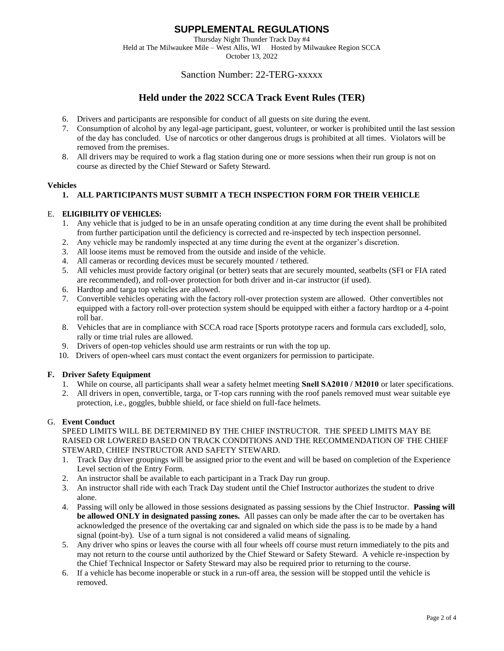Thursday Night Thunder Track Day #4 Held at The Milwaukee Mile – West Allis, WI Hosted by Milwaukee Region SCCA

October 13, 2022

# Sanction Number: 22-TERG-xxxxx

# **Held under the 2022 SCCA Track Event Rules (TER)**

- 6. Drivers and participants are responsible for conduct of all guests on site during the event.
- 7. Consumption of alcohol by any legal-age participant, guest, volunteer, or worker is prohibited until the last session of the day has concluded. Use of narcotics or other dangerous drugs is prohibited at all times. Violators will be removed from the premises.
- 8. All drivers may be required to work a flag station during one or more sessions when their run group is not on course as directed by the Chief Steward or Safety Steward.

## **Vehicles**

## **1. ALL PARTICIPANTS MUST SUBMIT A TECH INSPECTION FORM FOR THEIR VEHICLE**

## E. **ELIGIBILITY OF VEHICLES:**

- 1. Any vehicle that is judged to be in an unsafe operating condition at any time during the event shall be prohibited from further participation until the deficiency is corrected and re-inspected by tech inspection personnel.
- 2. Any vehicle may be randomly inspected at any time during the event at the organizer's discretion.
- 3. All loose items must be removed from the outside and inside of the vehicle.
- 4. All cameras or recording devices must be securely mounted / tethered.
- 5. All vehicles must provide factory original (or better) seats that are securely mounted, seatbelts (SFI or FIA rated are recommended), and roll-over protection for both driver and in-car instructor (if used).
- 6. Hardtop and targa top vehicles are allowed.
- 7. Convertible vehicles operating with the factory roll-over protection system are allowed. Other convertibles not equipped with a factory roll-over protection system should be equipped with either a factory hardtop or a 4-point roll bar.
- 8. Vehicles that are in compliance with SCCA road race [Sports prototype racers and formula cars excluded], solo, rally or time trial rules are allowed.
- 9. Drivers of open-top vehicles should use arm restraints or run with the top up.
- 10. Drivers of open-wheel cars must contact the event organizers for permission to participate.

## **F. Driver Safety Equipment**

- 1. While on course, all participants shall wear a safety helmet meeting **Snell SA2010 / M2010** or later specifications.
- 2. All drivers in open, convertible, targa, or T-top cars running with the roof panels removed must wear suitable eye protection, i.e., goggles, bubble shield, or face shield on full-face helmets.

## G. **Event Conduct**

### SPEED LIMITS WILL BE DETERMINED BY THE CHIEF INSTRUCTOR. THE SPEED LIMITS MAY BE RAISED OR LOWERED BASED ON TRACK CONDITIONS AND THE RECOMMENDATION OF THE CHIEF STEWARD, CHIEF INSTRUCTOR AND SAFETY STEWARD.

- 1. Track Day driver groupings will be assigned prior to the event and will be based on completion of the Experience Level section of the Entry Form.
- 2. An instructor shall be available to each participant in a Track Day run group.
- 3. An instructor shall ride with each Track Day student until the Chief Instructor authorizes the student to drive alone.
- 4. Passing will only be allowed in those sessions designated as passing sessions by the Chief Instructor. **Passing will be allowed ONLY in designated passing zones.** All passes can only be made after the car to be overtaken has acknowledged the presence of the overtaking car and signaled on which side the pass is to be made by a hand signal (point-by). Use of a turn signal is not considered a valid means of signaling.
- 5. Any driver who spins or leaves the course with all four wheels off course must return immediately to the pits and may not return to the course until authorized by the Chief Steward or Safety Steward. A vehicle re-inspection by the Chief Technical Inspector or Safety Steward may also be required prior to returning to the course.
- 6. If a vehicle has become inoperable or stuck in a run-off area, the session will be stopped until the vehicle is removed.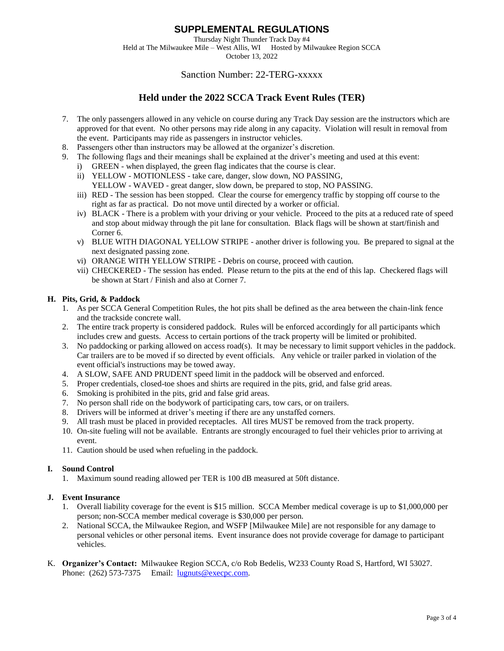Thursday Night Thunder Track Day #4 Held at The Milwaukee Mile – West Allis, WI Hosted by Milwaukee Region SCCA October 13, 2022

# Sanction Number: 22-TERG-xxxxx

# **Held under the 2022 SCCA Track Event Rules (TER)**

- 7. The only passengers allowed in any vehicle on course during any Track Day session are the instructors which are approved for that event. No other persons may ride along in any capacity. Violation will result in removal from the event. Participants may ride as passengers in instructor vehicles.
- 8. Passengers other than instructors may be allowed at the organizer's discretion.
- 9. The following flags and their meanings shall be explained at the driver's meeting and used at this event:
	- i) GREEN when displayed, the green flag indicates that the course is clear.
	- ii) YELLOW MOTIONLESS take care, danger, slow down, NO PASSING, YELLOW - WAVED - great danger, slow down, be prepared to stop, NO PASSING.
	- iii) RED The session has been stopped. Clear the course for emergency traffic by stopping off course to the right as far as practical. Do not move until directed by a worker or official.
	- iv) BLACK There is a problem with your driving or your vehicle. Proceed to the pits at a reduced rate of speed and stop about midway through the pit lane for consultation. Black flags will be shown at start/finish and Corner 6.
	- v) BLUE WITH DIAGONAL YELLOW STRIPE another driver is following you. Be prepared to signal at the next designated passing zone.
	- vi) ORANGE WITH YELLOW STRIPE Debris on course, proceed with caution.
	- vii) CHECKERED The session has ended. Please return to the pits at the end of this lap. Checkered flags will be shown at Start / Finish and also at Corner 7.

#### **H. Pits, Grid, & Paddock**

- 1. As per SCCA General Competition Rules, the hot pits shall be defined as the area between the chain-link fence and the trackside concrete wall.
- 2. The entire track property is considered paddock. Rules will be enforced accordingly for all participants which includes crew and guests. Access to certain portions of the track property will be limited or prohibited.
- 3. No paddocking or parking allowed on access road(s). It may be necessary to limit support vehicles in the paddock. Car trailers are to be moved if so directed by event officials. Any vehicle or trailer parked in violation of the event official's instructions may be towed away.
- 4. A SLOW, SAFE AND PRUDENT speed limit in the paddock will be observed and enforced.
- 5. Proper credentials, closed-toe shoes and shirts are required in the pits, grid, and false grid areas.
- 6. Smoking is prohibited in the pits, grid and false grid areas.
- 7. No person shall ride on the bodywork of participating cars, tow cars, or on trailers.
- 8. Drivers will be informed at driver's meeting if there are any unstaffed corners.
- 9. All trash must be placed in provided receptacles. All tires MUST be removed from the track property.
- 10. On-site fueling will not be available. Entrants are strongly encouraged to fuel their vehicles prior to arriving at event.
- 11. Caution should be used when refueling in the paddock.

#### **I. Sound Control**

1. Maximum sound reading allowed per TER is 100 dB measured at 50ft distance.

#### **J. Event Insurance**

- 1. Overall liability coverage for the event is \$15 million. SCCA Member medical coverage is up to \$1,000,000 per person; non-SCCA member medical coverage is \$30,000 per person.
- 2. National SCCA, the Milwaukee Region, and WSFP [Milwaukee Mile] are not responsible for any damage to personal vehicles or other personal items. Event insurance does not provide coverage for damage to participant vehicles.
- K. **Organizer's Contact:** Milwaukee Region SCCA, c/o Rob Bedelis, W233 County Road S, Hartford, WI 53027. Phone: (262) 573-7375 Email: [lugnuts@execpc.com.](mailto:lugnuts@execpc.com)